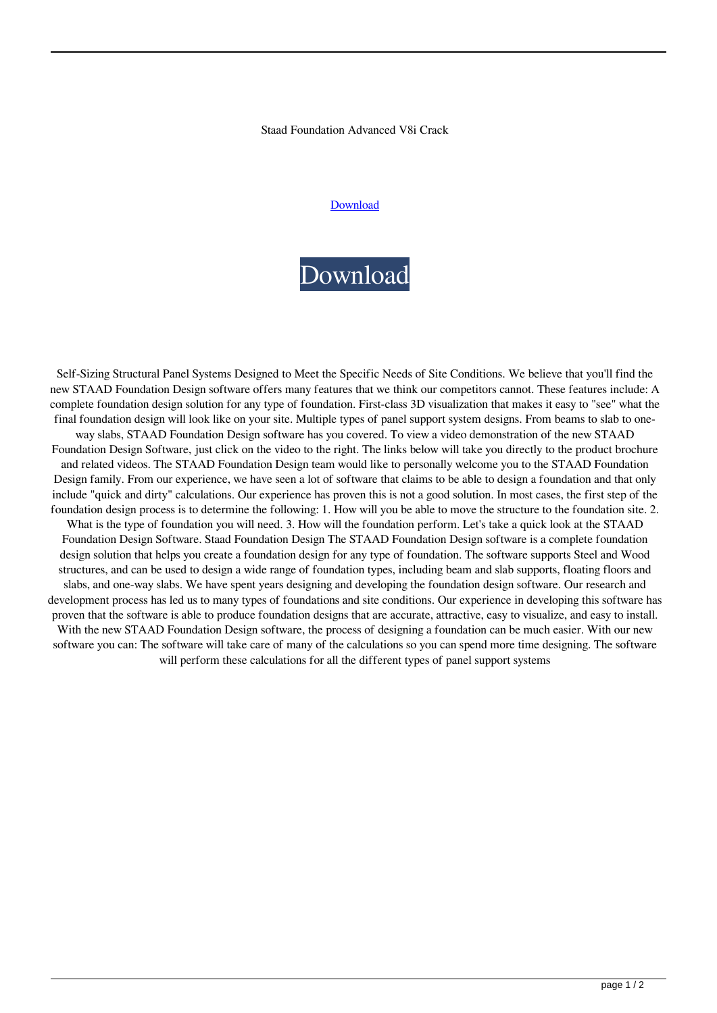## Staad Foundation Advanced V8i Crack

## [Download](http://evacdir.com/betel.cataracts?thuggish=sollars.croquettes.ZG93bmxvYWR8SkExTjJJeGZId3hOalV5TkRZek1EVXdmSHd5TlRjMGZId29UU2tnY21WaFpDMWliRzluSUZ0R1lYTjBJRWRGVGww/c3RhYWQgZm91bmRhdGlvbiBhZHZhbmNlZCB2OGkgY3JhY2sc3R)

## [Download](http://evacdir.com/betel.cataracts?thuggish=sollars.croquettes.ZG93bmxvYWR8SkExTjJJeGZId3hOalV5TkRZek1EVXdmSHd5TlRjMGZId29UU2tnY21WaFpDMWliRzluSUZ0R1lYTjBJRWRGVGww/c3RhYWQgZm91bmRhdGlvbiBhZHZhbmNlZCB2OGkgY3JhY2sc3R)

Self-Sizing Structural Panel Systems Designed to Meet the Specific Needs of Site Conditions. We believe that you'll find the new STAAD Foundation Design software offers many features that we think our competitors cannot. These features include: A complete foundation design solution for any type of foundation. First-class 3D visualization that makes it easy to "see" what the final foundation design will look like on your site. Multiple types of panel support system designs. From beams to slab to oneway slabs, STAAD Foundation Design software has you covered. To view a video demonstration of the new STAAD Foundation Design Software, just click on the video to the right. The links below will take you directly to the product brochure and related videos. The STAAD Foundation Design team would like to personally welcome you to the STAAD Foundation Design family. From our experience, we have seen a lot of software that claims to be able to design a foundation and that only include "quick and dirty" calculations. Our experience has proven this is not a good solution. In most cases, the first step of the foundation design process is to determine the following: 1. How will you be able to move the structure to the foundation site. 2. What is the type of foundation you will need. 3. How will the foundation perform. Let's take a quick look at the STAAD Foundation Design Software. Staad Foundation Design The STAAD Foundation Design software is a complete foundation design solution that helps you create a foundation design for any type of foundation. The software supports Steel and Wood structures, and can be used to design a wide range of foundation types, including beam and slab supports, floating floors and slabs, and one-way slabs. We have spent years designing and developing the foundation design software. Our research and development process has led us to many types of foundations and site conditions. Our experience in developing this software has proven that the software is able to produce foundation designs that are accurate, attractive, easy to visualize, and easy to install. With the new STAAD Foundation Design software, the process of designing a foundation can be much easier. With our new software you can: The software will take care of many of the calculations so you can spend more time designing. The software will perform these calculations for all the different types of panel support systems